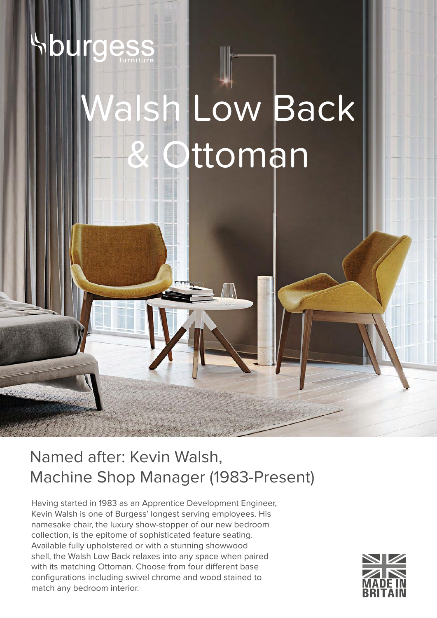# sh Low Back ttoman

Named after: Kevin Walsh, Machine Shop Manager (1983-Present)

Having started in 1983 as an Apprentice Development Engineer, Kevin Walsh is one of Burgess' longest serving employees. His namesake chair, the luxury show-stopper of our new bedroom collection, is the epitome of sophisticated feature seating. Available fully upholstered or with a stunning showwood shell, the Walsh Low Back relaxes into any space when paired with its matching Ottoman. Choose from four different base configurations including swivel chrome and wood stained to match any bedroom interior.

le